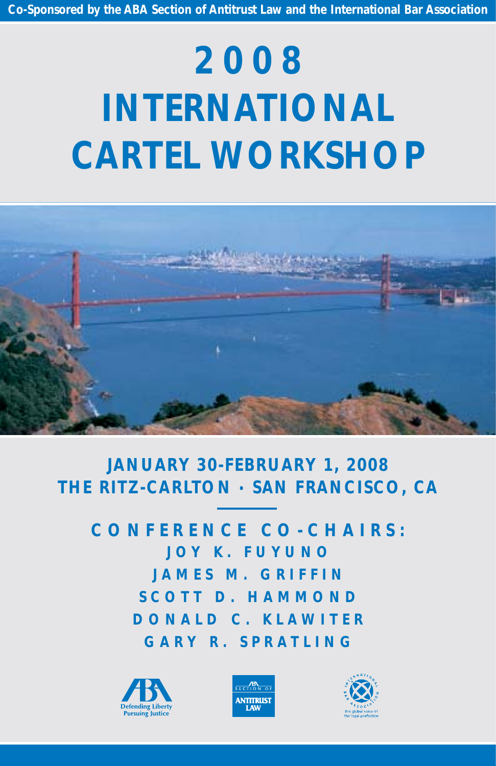# **2008 INTERNATIONAL CARTEL WORKSHOP**



# **JANUARY 30-FEBRUARY 1, 2008 THE RITZ-CARLTON • SAN FRANCISCO, CA**

**CONFERENCE CO-CHAIRS: JOY K. FUYUNO J A MES M. GRIFFIN SCOTT D. HAMMOND DONALD C. KLAWITER GARY R. SPRATLING**





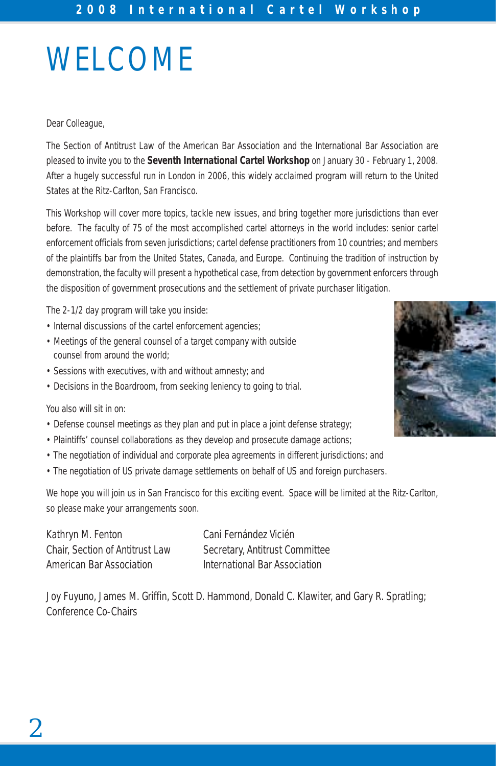# WELCOME

#### Dear Colleague,

The Section of Antitrust Law of the American Bar Association and the International Bar Association are pleased to invite you to the **Seventh International Cartel Workshop** on January 30 - February 1, 2008. After a hugely successful run in London in 2006, this widely acclaimed program will return to the United States at the Ritz-Carlton, San Francisco.

This Workshop will cover more topics, tackle new issues, and bring together more jurisdictions than ever before. The faculty of 75 of the most accomplished cartel attorneys in the world includes: senior cartel enforcement officials from seven jurisdictions; cartel defense practitioners from 10 countries; and members of the plaintiffs bar from the United States, Canada, and Europe. Continuing the tradition of instruction by demonstration, the faculty will present a hypothetical case, from detection by government enforcers through the disposition of government prosecutions and the settlement of private purchaser litigation.

The 2-1/2 day program will take you inside:

- Internal discussions of the cartel enforcement agencies;
- Meetings of the general counsel of a target company with outside counsel from around the world;
- Sessions with executives, with and without amnesty; and
- Decisions in the Boardroom, from seeking leniency to going to trial.

#### You also will sit in on:

- Defense counsel meetings as they plan and put in place a joint defense strategy;
- Plaintiffs' counsel collaborations as they develop and prosecute damage actions;
- The negotiation of individual and corporate plea agreements in different jurisdictions; and
- The negotiation of US private damage settlements on behalf of US and foreign purchasers.

We hope you will join us in San Francisco for this exciting event. Space will be limited at the Ritz-Carlton, so please make your arrangements soon.

Kathryn M. Fenton Chair, Section of Antitrust Law American Bar Association

Cani Fernández Vicién Secretary, Antitrust Committee International Bar Association

Joy Fuyuno, James M. Griffin, Scott D. Hammond, Donald C. Klawiter, and Gary R. Spratling; Conference Co-Chairs

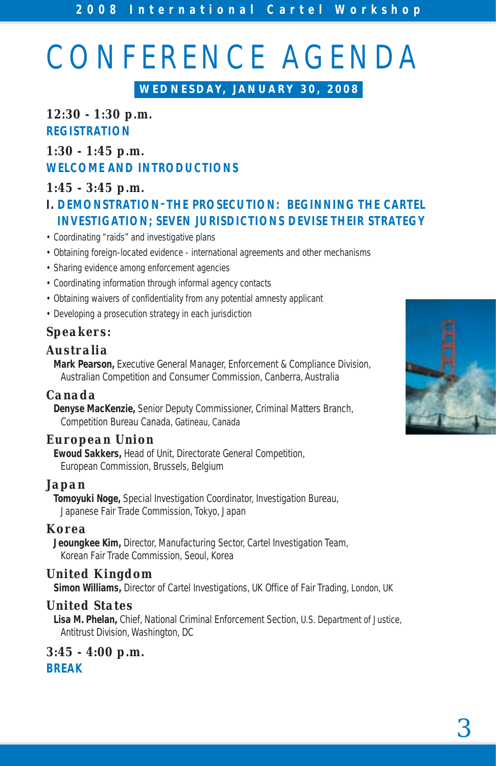# CONFERENCE AGENDA

**WEDNESDAY, JANUARY 30, 2008**

# *12:30 - 1:30 p.m.* **REGISTRATION**

# *1:30 - 1:45 p.m.* **WELCOME AND INTRODUCTIONS**

# *1:45 - 3:45 p.m.*

# **I. DEMONSTRATION–THE PROSECUTION: BEGINNING THE CARTEL INVESTIGATION; SEVEN JURISDICTIONS DEVISE THEIR STRATEGY**

- Coordinating "raids" and investigative plans
- Obtaining foreign-located evidence international agreements and other mechanisms
- Sharing evidence among enforcement agencies
- Coordinating information through informal agency contacts
- Obtaining waivers of confidentiality from any potential amnesty applicant
- Developing a prosecution strategy in each jurisdiction

# *Speakers:*

## *Australia*

**Mark Pearson,** Executive General Manager, Enforcement & Compliance Division, Australian Competition and Consumer Commission, Canberra, Australia

# *Canada*

**Denyse MacKenzie,** Senior Deputy Commissioner, Criminal Matters Branch, Competition Bureau Canada, Gatineau, Canada

# *European Union*

**Ewoud Sakkers,** Head of Unit, Directorate General Competition, European Commission, Brussels, Belgium

### *Japan*

**Tomoyuki Noge,** Special Investigation Coordinator, Investigation Bureau, Japanese Fair Trade Commission, Tokyo, Japan

### *Korea*

**Jeoungkee Kim,** Director, Manufacturing Sector, Cartel Investigation Team, Korean Fair Trade Commission, Seoul, Korea

# *United Kingdom*

**Simon Williams,** Director of Cartel Investigations, UK Office of Fair Trading, London, UK

### *United States*

**Lisa M. Phelan,** Chief, National Criminal Enforcement Section, U.S. Department of Justice, Antitrust Division, Washington, DC

*3:45 - 4:00 p.m.* **BREAK**

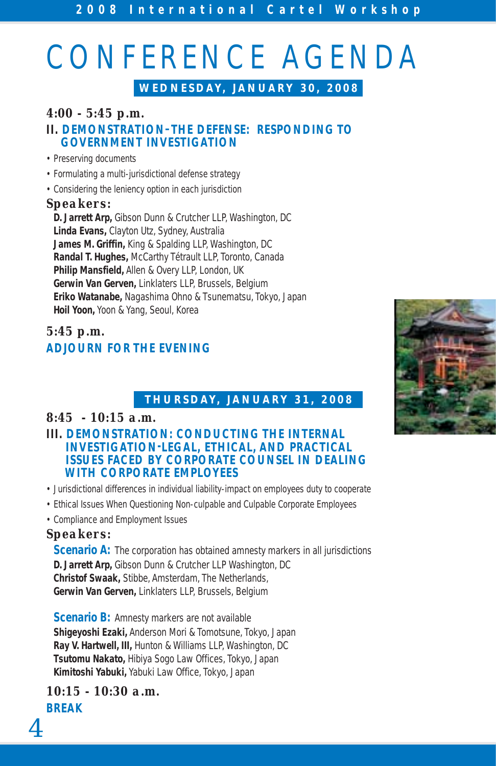# CONFERENCE AGENDA

**WEDNESDAY, JANUARY 30, 2008**

# *4:00 - 5:45 p.m.*

### **II. DEMONSTRATION–THE DEFENSE: RESPONDING TO GOVERNMENT INVESTIGATION**

- Preserving documents
- Formulating a multi-jurisdictional defense strategy
- Considering the leniency option in each jurisdiction

#### *Speakers:*

**D. Jarrett Arp,** Gibson Dunn & Crutcher LLP, Washington, DC **Linda Evans,** Clayton Utz, Sydney, Australia **James M. Griffin,** King & Spalding LLP, Washington, DC **Randal T. Hughes,** McCarthy Tétrault LLP, Toronto, Canada **Philip Mansfield,** Allen & Overy LLP, London, UK **Gerwin Van Gerven,** Linklaters LLP, Brussels, Belgium **Eriko Watanabe,** Nagashima Ohno & Tsunematsu, Tokyo, Japan **Hoil Yoon,** Yoon & Yang, Seoul, Korea

# *5:45 p.m.* **ADJOURN FOR THE EVENING**

# **THURSDAY, JANUARY 31, 2008**

## *8:45 - 10:15 a.m.*

- **III. DEMONSTRATION: CONDUCTING THE INTERNAL INVESTIGATION-LEGAL, ETHICAL, AND PRACTICAL ISSUES FACED BY CORPORATE COUNSEL IN DEALING WITH CORPORATE EMPLOYEES**
- Jurisdictional differences in individual liability-impact on employees duty to cooperate
- Ethical Issues When Questioning Non-culpable and Culpable Corporate Employees
- Compliance and Employment Issues

### *Speakers:*

**Scenario A:** The corporation has obtained amnesty markers in all jurisdictions **D. Jarrett Arp,** Gibson Dunn & Crutcher LLP Washington, DC **Christof Swaak,** Stibbe, Amsterdam, The Netherlands, **Gerwin Van Gerven,** Linklaters LLP, Brussels, Belgium

**Scenario B:** Amnesty markers are not available **Shigeyoshi Ezaki,** Anderson Mori & Tomotsune, Tokyo, Japan **Ray V. Hartwell, III,** Hunton & Williams LLP, Washington, DC **Tsutomu Nakato,** Hibiya Sogo Law Offices, Tokyo, Japan **Kimitoshi Yabuki,** Yabuki Law Office, Tokyo, Japan

*10:15 - 10:30 a.m.* **BREAK**

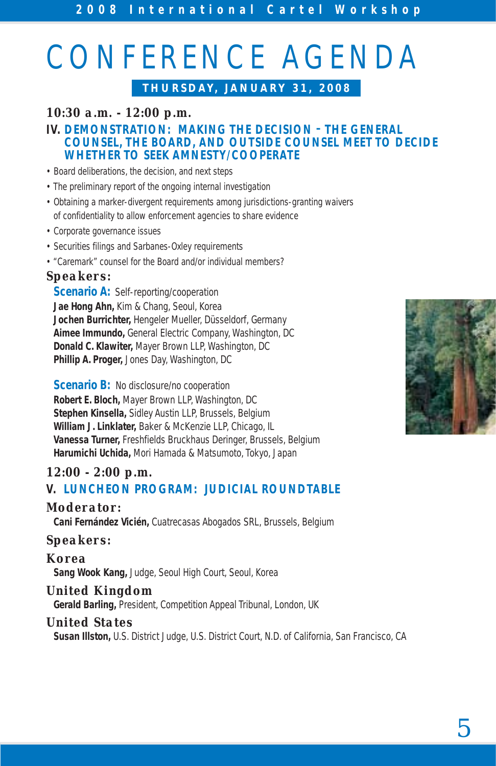# CONFERENCE AGENDA

# **THURSDAY, JANUARY 31, 2008**

# *10:30 a.m. - 12:00 p.m.*

#### **IV. DEMONSTRATION: MAKING THE DECISION – THE GENERAL COUNSEL, THE BOARD, AND OUTSIDE COUNSEL MEET TO DECIDE WHETHER TO SEEK AMNESTY/COOPERATE**

- Board deliberations, the decision, and next steps
- The preliminary report of the ongoing internal investigation
- Obtaining a marker-divergent requirements among jurisdictions-granting waivers of confidentiality to allow enforcement agencies to share evidence
- Corporate governance issues
- Securities filings and Sarbanes-Oxley requirements
- "Caremark" counsel for the Board and/or individual members?

### *Speakers:*

**Scenario A: Self-reporting/cooperation Jae Hong Ahn,** Kim & Chang, Seoul, Korea **Jochen Burrichter,** Hengeler Mueller, Düsseldorf, Germany **Aimee Immundo,** General Electric Company, Washington, DC **Donald C. Klawiter,** Mayer Brown LLP, Washington, DC **Phillip A. Proger,** Jones Day, Washington, DC

**Scenario B:** No disclosure/no cooperation **Robert E. Bloch,** Mayer Brown LLP, Washington, DC **Stephen Kinsella,** Sidley Austin LLP, Brussels, Belgium **William J. Linklater,** Baker & McKenzie LLP, Chicago, IL **Vanessa Turner,** Freshfields Bruckhaus Deringer, Brussels, Belgium **Harumichi Uchida,** Mori Hamada & Matsumoto, Tokyo, Japan

## *12:00 - 2:00 p.m.* **V. LUNCHEON PROGRAM: JUDICIAL ROUNDTABLE**

### *Moderator:*

**Cani Fernández Vicién,** Cuatrecasas Abogados SRL, Brussels, Belgium

### *Speakers:*

*Korea* **Sang Wook Kang,** Judge, Seoul High Court, Seoul, Korea

### *United Kingdom*

**Gerald Barling,** President, Competition Appeal Tribunal, London, UK

#### *United States*

**Susan Illston,** U.S. District Judge, U.S. District Court, N.D. of California, San Francisco, CA

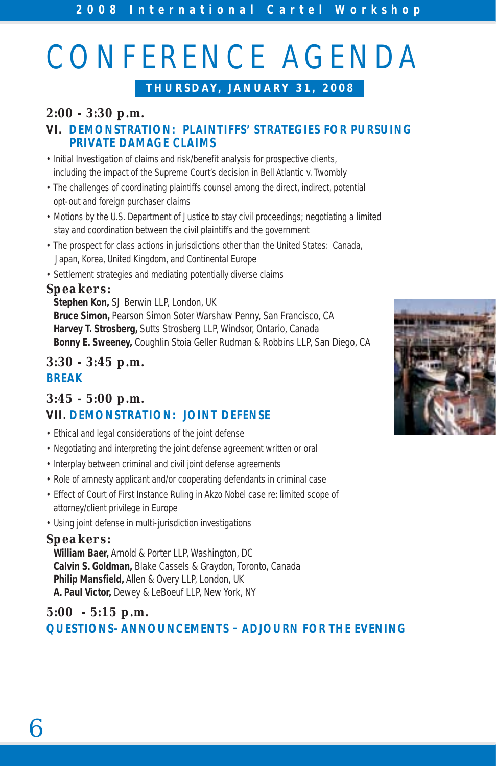# CONFERENCE AGENDA

**THURSDAY, JANUARY 31, 2008**

# *2:00 - 3:30 p.m.*

### **VI. DEMONSTRATION: PLAINTIFFS' STRATEGIES FOR PURSUING PRIVATE DAMAGE CLAIMS**

- Initial Investigation of claims and risk/benefit analysis for prospective clients, including the impact of the Supreme Court's decision in Bell Atlantic v. Twombly
- The challenges of coordinating plaintiffs counsel among the direct, indirect, potential opt-out and foreign purchaser claims
- Motions by the U.S. Department of Justice to stay civil proceedings; negotiating a limited stay and coordination between the civil plaintiffs and the government
- The prospect for class actions in jurisdictions other than the United States: Canada, Japan, Korea, United Kingdom, and Continental Europe
- Settlement strategies and mediating potentially diverse claims

## *Speakers:*

**Stephen Kon,** SJ Berwin LLP, London, UK **Bruce Simon,** Pearson Simon Soter Warshaw Penny, San Francisco, CA **Harvey T. Strosberg,** Sutts Strosberg LLP, Windsor, Ontario, Canada **Bonny E. Sweeney,** Coughlin Stoia Geller Rudman & Robbins LLP, San Diego, CA

# *3:30 - 3:45 p.m.* **BREAK**

# *3:45 - 5:00 p.m.* **VII. DEMONSTRATION: JOINT DEFENSE**

- Ethical and legal considerations of the joint defense
- Negotiating and interpreting the joint defense agreement written or oral
- Interplay between criminal and civil joint defense agreements
- Role of amnesty applicant and/or cooperating defendants in criminal case
- Effect of Court of First Instance Ruling in Akzo Nobel case re: limited scope of attorney/client privilege in Europe
- Using joint defense in multi-jurisdiction investigations

#### *Speakers:*

**William Baer,** Arnold & Porter LLP, Washington, DC **Calvin S. Goldman,** Blake Cassels & Graydon, Toronto, Canada **Philip Mansfield,** Allen & Overy LLP, London, UK **A. Paul Victor,** Dewey & LeBoeuf LLP, New York, NY

# *5:00 - 5:15 p.m.* **QUESTIONS- ANNOUNCEMENTS – ADJOURN FOR THE EVENING**

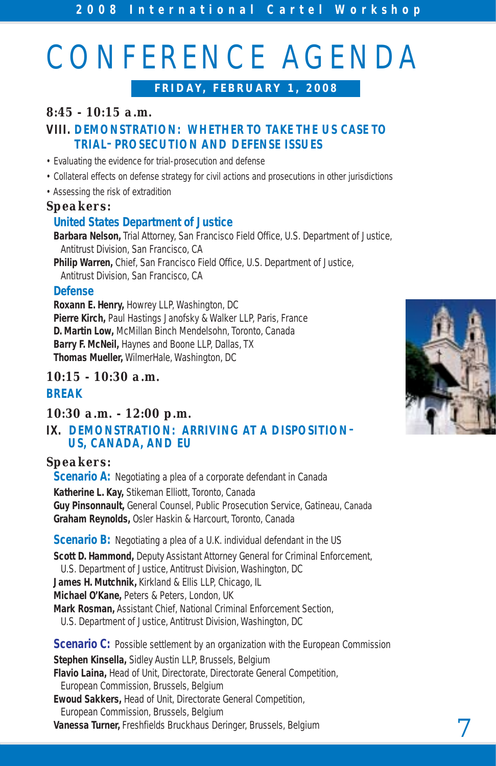# CONFERENCE AGENDA

**FRIDAY, FEBRUARY 1, 2008**

# *8:45 - 10:15 a.m.*

# **VIII. DEMONSTRATION: WHETHER TO TAKE THE US CASE TO TRIAL– PROSECUTION AND DEFENSE ISSUES**

- Evaluating the evidence for trial-prosecution and defense
- Collateral effects on defense strategy for civil actions and prosecutions in other jurisdictions
- Assessing the risk of extradition

# *Speakers:*

# **United States Department of Justice**

**Barbara Nelson,** Trial Attorney, San Francisco Field Office, U.S. Department of Justice, Antitrust Division, San Francisco, CA

**Philip Warren,** Chief, San Francisco Field Office, U.S. Department of Justice, Antitrust Division, San Francisco, CA

## **Defense**

**Roxann E. Henry,** Howrey LLP, Washington, DC **Pierre Kirch,** Paul Hastings Janofsky & Walker LLP, Paris, France **D. Martin Low,** McMillan Binch Mendelsohn, Toronto, Canada **Barry F. McNeil,** Haynes and Boone LLP, Dallas, TX **Thomas Mueller,** WilmerHale, Washington, DC

### *10:15 - 10:30 a.m.* **BREAK**

# *10:30 a.m. - 12:00 p.m.*

# **IX. DEMONSTRATION: ARRIVING AT A DISPOSITION– US, CANADA, AND EU**

# *Speakers:*

**Scenario A:** Negotiating a plea of a corporate defendant in Canada **Katherine L. Kay,** Stikeman Elliott, Toronto, Canada **Guy Pinsonnault,** General Counsel, Public Prosecution Service, Gatineau, Canada **Graham Reynolds,** Osler Haskin & Harcourt, Toronto, Canada

**Scenario B:** Negotiating a plea of a U.K. individual defendant in the US **Scott D. Hammond,** Deputy Assistant Attorney General for Criminal Enforcement, U.S. Department of Justice, Antitrust Division, Washington, DC **James H. Mutchnik,** Kirkland & Ellis LLP, Chicago, IL **Michael O'Kane,** Peters & Peters, London, UK **Mark Rosman,** Assistant Chief, National Criminal Enforcement Section, U.S. Department of Justice, Antitrust Division, Washington, DC **Scenario C:** Possible settlement by an organization with the European Commission **Stephen Kinsella,** Sidley Austin LLP, Brussels, Belgium **Flavio Laina,** Head of Unit, Directorate, Directorate General Competition, European Commission, Brussels, Belgium **Ewoud Sakkers,** Head of Unit, Directorate General Competition,

European Commission, Brussels, Belgium **Vanessa Turner,** Freshfields Bruckhaus Deringer, Brussels, Belgium

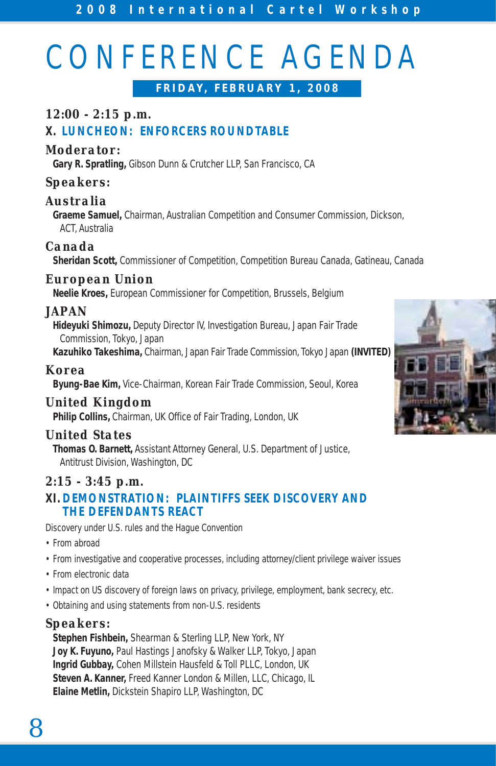# CONFERENCE AGENDA

**FRIDAY, FEBRUARY 1, 2008**

# *12:00 - 2:15 p.m.* **X. LUNCHEON: ENFORCERS ROUNDTABLE**

## *Moderator:*

**Gary R. Spratling,** Gibson Dunn & Crutcher LLP, San Francisco, CA

# *Speakers:*

# *Australia*

**Graeme Samuel,** Chairman, Australian Competition and Consumer Commission, Dickson, ACT, Australia

## *Canada*

**Sheridan Scott,** Commissioner of Competition, Competition Bureau Canada, Gatineau, Canada

# *European Union*

**Neelie Kroes,** European Commissioner for Competition, Brussels, Belgium

# *JAPAN*

**Hideyuki Shimozu,** Deputy Director IV, Investigation Bureau, Japan Fair Trade Commission, Tokyo, Japan

**Kazuhiko Takeshima,** Chairman, Japan Fair Trade Commission, Tokyo Japan **(INVITED)**

### *Korea*

**Byung-Bae Kim,** Vice-Chairman, Korean Fair Trade Commission, Seoul, Korea

# *United Kingdom*

**Philip Collins,** Chairman, UK Office of Fair Trading, London, UK

### *United States*

**Thomas O. Barnett,** Assistant Attorney General, U.S. Department of Justice, Antitrust Division, Washington, DC

## *2:15 - 3:45 p.m.* **XI. DEMONSTRATION: PLAINTIFFS SEEK DISCOVERY AND THE DEFENDANTS REACT**

Discovery under U.S. rules and the Hague Convention

- From abroad
- From investigative and cooperative processes, including attorney/client privilege waiver issues
- From electronic data
- Impact on US discovery of foreign laws on privacy, privilege, employment, bank secrecy, etc.
- Obtaining and using statements from non-U.S. residents

# *Speakers:*

**Stephen Fishbein,** Shearman & Sterling LLP, New York, NY **Joy K. Fuyuno,** Paul Hastings Janofsky & Walker LLP, Tokyo, Japan **Ingrid Gubbay,** Cohen Millstein Hausfeld & Toll PLLC, London, UK **Steven A. Kanner,** Freed Kanner London & Millen, LLC, Chicago, IL **Elaine Metlin,** Dickstein Shapiro LLP, Washington, DC

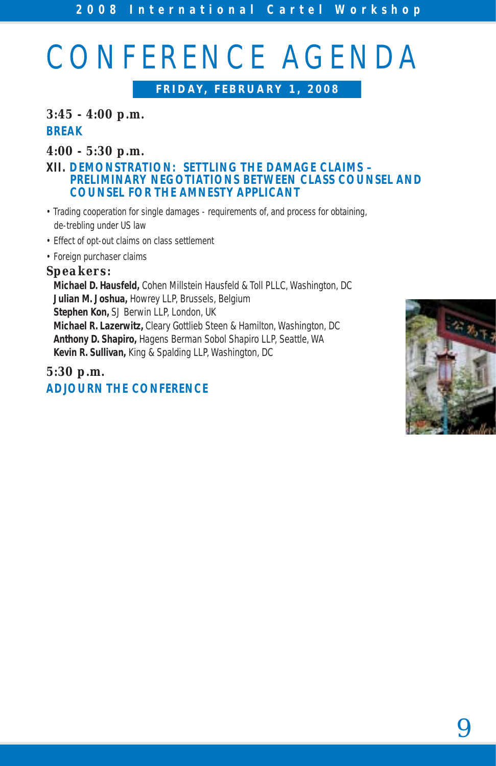# CONFERENCE AGENDA

**FRIDAY, FEBRUARY 1, 2008**

# *3:45 - 4:00 p.m.* **BREAK**

### *4:00 - 5:30 p.m.*

#### **XII. DEMONSTRATION: SETTLING THE DAMAGE CLAIMS – PRELIMINARY NEGOTIATIONS BETWEEN CLASS COUNSEL AND COUNSEL FOR THE AMNESTY APPLICANT**

- Trading cooperation for single damages requirements of, and process for obtaining, de-trebling under US law
- Effect of opt-out claims on class settlement
- Foreign purchaser claims

### *Speakers:*

**Michael D. Hausfeld,** Cohen Millstein Hausfeld & Toll PLLC, Washington, DC **Julian M. Joshua,** Howrey LLP, Brussels, Belgium **Stephen Kon,** SJ Berwin LLP, London, UK **Michael R. Lazerwitz,** Cleary Gottlieb Steen & Hamilton, Washington, DC **Anthony D. Shapiro,** Hagens Berman Sobol Shapiro LLP, Seattle, WA **Kevin R. Sullivan,** King & Spalding LLP, Washington, DC

# *5:30 p.m.* **ADJOURN THE CONFERENCE**

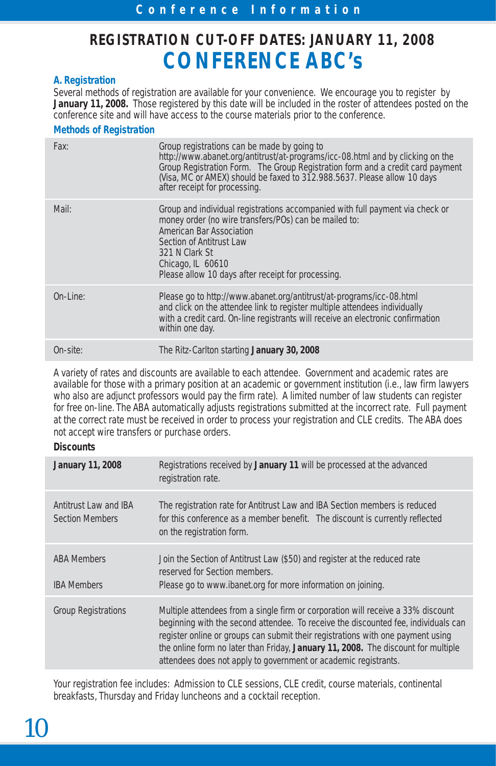# **REGISTRATION CUT-OFF DATES: JANUARY 11, 2008 CONFERENCE ABC's**

#### **A. Registration**

Several methods of registration are available for your convenience. We encourage you to register by **January 11, 2008.** Those registered by this date will be included in the roster of attendees posted on the conference site and will have access to the course materials prior to the conference.

#### **Methods of Registration**

| Fax:        | Group registrations can be made by going to<br>http://www.abanet.org/antitrust/at-programs/icc-08.html and by clicking on the<br>Group Registration Form. The Group Registration form and a credit card payment<br>(Visa, MC or AMEX) should be faxed to 312.988.5637. Please allow 10 days<br>after receipt for processing. |
|-------------|------------------------------------------------------------------------------------------------------------------------------------------------------------------------------------------------------------------------------------------------------------------------------------------------------------------------------|
| Mail:       | Group and individual registrations accompanied with full payment via check or<br>money order (no wire transfers/POs) can be mailed to:<br>American Bar Association<br>Section of Antitrust Law<br>321 N Clark St<br>Chicago, IL 60610<br>Please allow 10 days after receipt for processing.                                  |
| $On$ -Line: | Please go to http://www.abanet.org/antitrust/at-programs/icc-08.html<br>and click on the attendee link to register multiple attendees individually<br>with a credit card. On-line registrants will receive an electronic confirmation<br>within one day.                                                                     |
| On-site:    | The Ritz-Carlton starting January 30, 2008                                                                                                                                                                                                                                                                                   |

A variety of rates and discounts are available to each attendee. Government and academic rates are available for those with a primary position at an academic or government institution (i.e., law firm lawyers who also are adjunct professors would pay the firm rate). A limited number of law students can register for free on-line. The ABA automatically adjusts registrations submitted at the incorrect rate. Full payment at the correct rate must be received in order to process your registration and CLE credits. The ABA does not accept wire transfers or purchase orders.

#### **Discounts**

| <b>January 11, 2008</b>                         | Registrations received by January 11 will be processed at the advanced<br>registration rate.                                                                                                                                                                                                                                                                                                                      |
|-------------------------------------------------|-------------------------------------------------------------------------------------------------------------------------------------------------------------------------------------------------------------------------------------------------------------------------------------------------------------------------------------------------------------------------------------------------------------------|
| Antitrust Law and IBA<br><b>Section Members</b> | The registration rate for Antitrust Law and IBA Section members is reduced<br>for this conference as a member benefit. The discount is currently reflected<br>on the registration form.                                                                                                                                                                                                                           |
| <b>ABA Members</b><br><b>IBA Members</b>        | Join the Section of Antitrust Law (\$50) and register at the reduced rate<br>reserved for Section members.<br>Please go to www.ibanet.org for more information on joining.                                                                                                                                                                                                                                        |
| <b>Group Registrations</b>                      | Multiple attendees from a single firm or corporation will receive a 33% discount<br>beginning with the second attendee. To receive the discounted fee, individuals can<br>register online or groups can submit their registrations with one payment using<br>the online form no later than Friday, January 11, 2008. The discount for multiple<br>attendees does not apply to government or academic registrants. |

Your registration fee includes: Admission to CLE sessions, CLE credit, course materials, continental breakfasts, Thursday and Friday luncheons and a cocktail reception.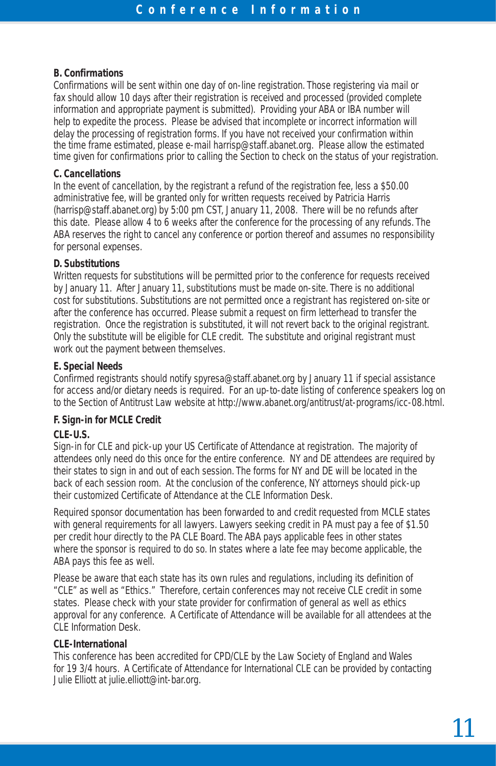#### **B. Confirmations**

Confirmations will be sent within one day of on-line registration. Those registering via mail or fax should allow 10 days after their registration is received and processed (provided complete information and appropriate payment is submitted). Providing your ABA or IBA number will help to expedite the process. Please be advised that incomplete or incorrect information will delay the processing of registration forms. If you have not received your confirmation within the time frame estimated, please e-mail harrisp@staff.abanet.org. Please allow the estimated time given for confirmations prior to calling the Section to check on the status of your registration.

#### **C. Cancellations**

In the event of cancellation, by the registrant a refund of the registration fee, less a \$50.00 administrative fee, will be granted only for written requests received by Patricia Harris (harrisp@staff.abanet.org) by 5:00 pm CST, January 11, 2008. There will be no refunds after this date. Please allow 4 to 6 weeks after the conference for the processing of any refunds. The ABA reserves the right to cancel any conference or portion thereof and assumes no responsibility for personal expenses.

#### **D. Substitutions**

Written requests for substitutions will be permitted prior to the conference for requests received by January 11. After January 11, substitutions must be made on-site. There is no additional cost for substitutions. Substitutions are not permitted once a registrant has registered on-site or after the conference has occurred. Please submit a request on firm letterhead to transfer the registration. Once the registration is substituted, it will not revert back to the original registrant. Only the substitute will be eligible for CLE credit. The substitute and original registrant must work out the payment between themselves.

#### **E. Special Needs**

Confirmed registrants should notify spyresa@staff.abanet.org by January 11 if special assistance for access and/or dietary needs is required. For an up-to-date listing of conference speakers log on to the Section of Antitrust Law website at http://www.abanet.org/antitrust/at-programs/icc-08.html.

#### **F. Sign-in for MCLE Credit**

#### **CLE-U.S.**

Sign-in for CLE and pick-up your US Certificate of Attendance at registration. The majority of attendees only need do this once for the entire conference. NY and DE attendees are required by their states to sign in and out of each session. The forms for NY and DE will be located in the back of each session room. At the conclusion of the conference, NY attorneys should pick-up their customized Certificate of Attendance at the CLE Information Desk.

Required sponsor documentation has been forwarded to and credit requested from MCLE states with general requirements for all lawyers. Lawyers seeking credit in PA must pay a fee of \$1.50 per credit hour directly to the PA CLE Board. The ABA pays applicable fees in other states where the sponsor is required to do so. In states where a late fee may become applicable, the ABA pays this fee as well.

Please be aware that each state has its own rules and regulations, including its definition of "CLE" as well as "Ethics." Therefore, certain conferences may not receive CLE credit in some states. Please check with your state provider for confirmation of general as well as ethics approval for any conference. A Certificate of Attendance will be available for all attendees at the CLE Information Desk.

#### **CLE-International**

This conference has been accredited for CPD/CLE by the Law Society of England and Wales for 19 3/4 hours. A Certificate of Attendance for International CLE can be provided by contacting Julie Elliott at julie.elliott@int-bar.org.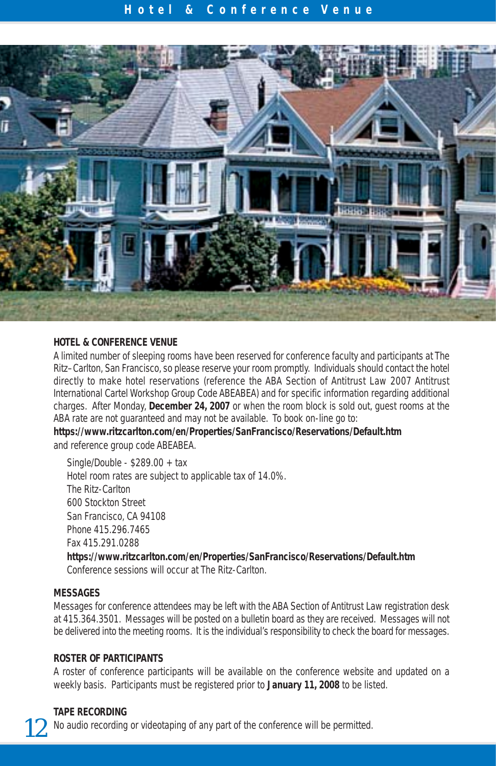#### **Hotel & Conference Venue**



#### **HOTEL & CONFERENCE VENUE**

A limited number of sleeping rooms have been reserved for conference faculty and participants at The Ritz–Carlton, San Francisco, so please reserve your room promptly. Individuals should contact the hotel directly to make hotel reservations (reference the ABA Section of Antitrust Law 2007 Antitrust International Cartel Workshop Group Code ABEABEA) and for specific information regarding additional charges. After Monday, **December 24, 2007** or when the room block is sold out, guest rooms at the ABA rate are not guaranteed and may not be available. To book on-line go to:

**https://www.ritzcarlton.com/en/Properties/SanFrancisco/Reservations/Default.htm** and reference group code ABEABEA.

Single/Double - \$289.00 + tax Hotel room rates are subject to applicable tax of 14.0%. The Ritz-Carlton 600 Stockton Street San Francisco, CA 94108 Phone 415.296.7465 Fax 415.291.0288 **https://www.ritzcarlton.com/en/Properties/SanFrancisco/Reservations/Default.htm** Conference sessions will occur at The Ritz-Carlton.

#### **MESSAGES**

Messages for conference attendees may be left with the ABA Section of Antitrust Law registration desk at 415.364.3501. Messages will be posted on a bulletin board as they are received. Messages will not be delivered into the meeting rooms. It is the individual's responsibility to check the board for messages.

#### **ROSTER OF PARTICIPANTS**

A roster of conference participants will be available on the conference website and updated on a weekly basis. Participants must be registered prior to **January 11, 2008** to be listed.

#### **TAPE RECORDING**

No audio recording or videotaping of any part of the conference will be permitted.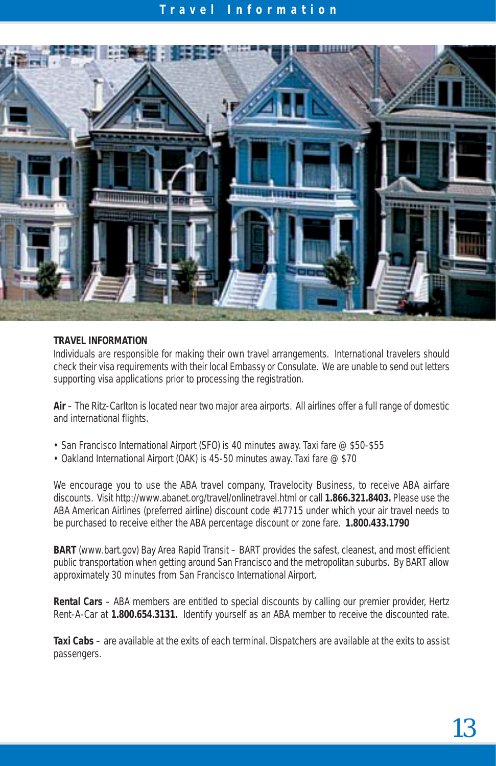#### **T r a v el Information**



#### **TRAVEL INFORMATION**

Individuals are responsible for making their own travel arrangements. International travelers should check their visa requirements with their local Embassy or Consulate. We are unable to send out letters supporting visa applications prior to processing the registration.

**Air** – The Ritz-Carlton is located near two major area airports. All airlines offer a full range of domestic and international flights.

- San Francisco International Airport (SFO) is 40 minutes away. Taxi fare @ \$50-\$55
- Oakland International Airport (OAK) is 45-50 minutes away. Taxi fare @ \$70

We encourage you to use the ABA travel company, Travelocity Business, to receive ABA airfare discounts. Visit http://www.abanet.org/travel/onlinetravel.html or call **1.866.321.8403.** Please use the ABA American Airlines (preferred airline) discount code #17715 under which your air travel needs to be purchased to receive either the ABA percentage discount or zone fare. **1.800.433.1790**

**BART** (www.bart.gov) Bay Area Rapid Transit – BART provides the safest, cleanest, and most efficient public transportation when getting around San Francisco and the metropolitan suburbs. By BART allow approximately 30 minutes from San Francisco International Airport.

**Rental Cars** – ABA members are entitled to special discounts by calling our premier provider, Hertz Rent-A-Car at **1.800.654.3131.** Identify yourself as an ABA member to receive the discounted rate.

**Taxi Cabs** – are available at the exits of each terminal. Dispatchers are available at the exits to assist passengers.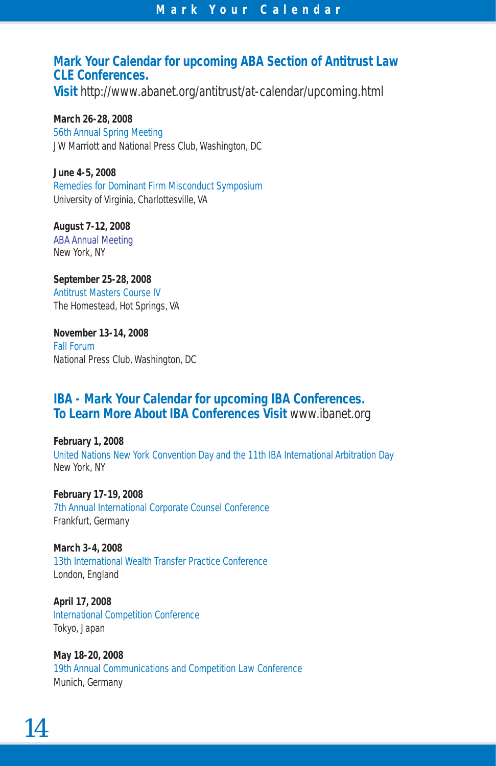## **Mark Your Calendar for upcoming ABA Section of Antitrust Law CLE Conferences.**

**Visit** http://www.abanet.org/antitrust/at-calendar/upcoming.html

**March 26-28, 2008** 56th Annual Spring Meeting JW Marriott and National Press Club, Washington, DC

**June 4-5, 2008** Remedies for Dominant Firm Misconduct Symposium University of Virginia, Charlottesville, VA

**August 7-12, 2008** ABA Annual Meeting New York, NY

**September 25-28, 2008** Antitrust Masters Course IV The Homestead, Hot Springs, VA

**November 13-14, 2008** Fall Forum National Press Club, Washington, DC

# **IBA - Mark Your Calendar for upcoming IBA Conferences. To Learn More About IBA Conferences Visit** www.ibanet.org

**February 1, 2008** United Nations New York Convention Day and the 11th IBA International Arbitration Day New York, NY

**February 17-19, 2008** 7th Annual International Corporate Counsel Conference Frankfurt, Germany

**March 3-4, 2008** 13th International Wealth Transfer Practice Conference London, England

**April 17, 2008** International Competition Conference Tokyo, Japan

**May 18-20, 2008** 19th Annual Communications and Competition Law Conference Munich, Germany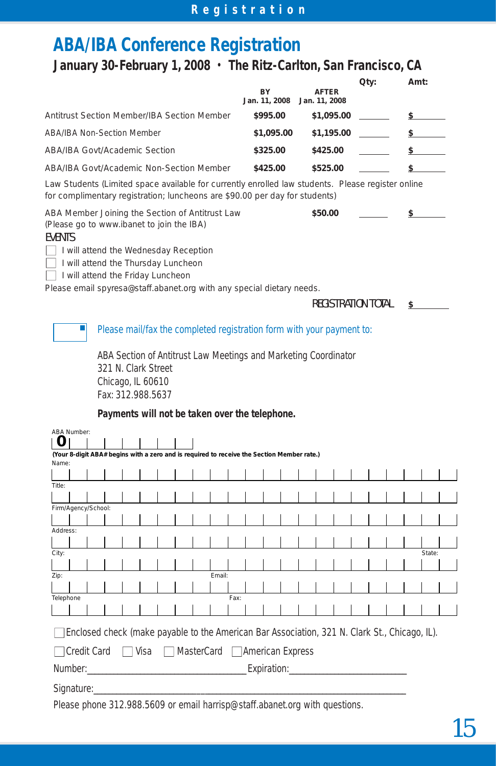# **ABA/IBA Conference Registration**

# **January 30-February 1, 2008 • The Ritz-Carlton, San Francisco, CA**

|                                             | BY<br>Jan. 11, 2008 | <b>AFTER</b><br>Jan. 11, 2008 | Qty: | Amt: |
|---------------------------------------------|---------------------|-------------------------------|------|------|
| Antitrust Section Member/IBA Section Member | \$995.00            | \$1,095.00                    |      |      |
| ABA/IBA Non-Section Member                  | \$1,095.00          | \$1,195.00                    |      |      |
| ABA/IBA Govt/Academic Section               | \$325.00            | \$425.00                      |      |      |
| ABA/IBA Govt/Academic Non-Section Member    | \$425.00            | \$525.00                      |      |      |

Law Students *(Limited space available for currently enrolled law students. Please register online for complimentary registration; luncheons are \$90.00 per day for students)*

ABA Member Joining the Section of Antitrust Law **\$50.00 \$** 

*(Please go to www.ibanet to join the IBA)*

#### EVENTS

 $\Box$  I will attend the Wednesday Reception

□ I will attend the Thursday Luncheon

□ I will attend the Friday Luncheon

Please email spyresa@staff.abanet.org with any special dietary needs.

REGISTRATION TOTAL **\$** 

#### Please mail/fax the completed registration form with your payment to:

ABA Section of Antitrust Law Meetings and Marketing Coordinator 321 N. Clark Street Chicago, IL 60610 Fax: 312.988.5637

#### **Payments will not be taken over the telephone.**

|                                                                                               | <b>ABA Number:</b>                                                                         |  |  |                       |  |  |  |  |  |      |  |  |  |  |  |  |  |        |  |
|-----------------------------------------------------------------------------------------------|--------------------------------------------------------------------------------------------|--|--|-----------------------|--|--|--|--|--|------|--|--|--|--|--|--|--|--------|--|
| $\mathbf{U}$                                                                                  |                                                                                            |  |  |                       |  |  |  |  |  |      |  |  |  |  |  |  |  |        |  |
|                                                                                               | (Your 8-digit ABA# begins with a zero and is required to receive the Section Member rate.) |  |  |                       |  |  |  |  |  |      |  |  |  |  |  |  |  |        |  |
| Name:                                                                                         |                                                                                            |  |  |                       |  |  |  |  |  |      |  |  |  |  |  |  |  |        |  |
|                                                                                               |                                                                                            |  |  |                       |  |  |  |  |  |      |  |  |  |  |  |  |  |        |  |
| Title:                                                                                        |                                                                                            |  |  |                       |  |  |  |  |  |      |  |  |  |  |  |  |  |        |  |
|                                                                                               |                                                                                            |  |  |                       |  |  |  |  |  |      |  |  |  |  |  |  |  |        |  |
|                                                                                               | Firm/Agency/School:                                                                        |  |  |                       |  |  |  |  |  |      |  |  |  |  |  |  |  |        |  |
| Address:                                                                                      |                                                                                            |  |  |                       |  |  |  |  |  |      |  |  |  |  |  |  |  |        |  |
|                                                                                               |                                                                                            |  |  |                       |  |  |  |  |  |      |  |  |  |  |  |  |  |        |  |
| City:                                                                                         |                                                                                            |  |  |                       |  |  |  |  |  |      |  |  |  |  |  |  |  | State: |  |
|                                                                                               |                                                                                            |  |  |                       |  |  |  |  |  |      |  |  |  |  |  |  |  |        |  |
| Zip:                                                                                          | Email:                                                                                     |  |  |                       |  |  |  |  |  |      |  |  |  |  |  |  |  |        |  |
|                                                                                               |                                                                                            |  |  |                       |  |  |  |  |  |      |  |  |  |  |  |  |  |        |  |
| Telephone                                                                                     |                                                                                            |  |  |                       |  |  |  |  |  | Fax: |  |  |  |  |  |  |  |        |  |
|                                                                                               |                                                                                            |  |  |                       |  |  |  |  |  |      |  |  |  |  |  |  |  |        |  |
| Enclosed check (make payable to the American Bar Association, 321 N. Clark St., Chicago, IL). |                                                                                            |  |  |                       |  |  |  |  |  |      |  |  |  |  |  |  |  |        |  |
| Credit Card □ Visa □ MasterCard □ American Express                                            |                                                                                            |  |  |                       |  |  |  |  |  |      |  |  |  |  |  |  |  |        |  |
|                                                                                               | Number:<br>Expiration:                                                                     |  |  |                       |  |  |  |  |  |      |  |  |  |  |  |  |  |        |  |
|                                                                                               |                                                                                            |  |  | Signature: Signature: |  |  |  |  |  |      |  |  |  |  |  |  |  |        |  |
|                                                                                               | Please phone 312.988.5609 or email harrisp@staff.abanet.org with questions.                |  |  |                       |  |  |  |  |  |      |  |  |  |  |  |  |  |        |  |

15